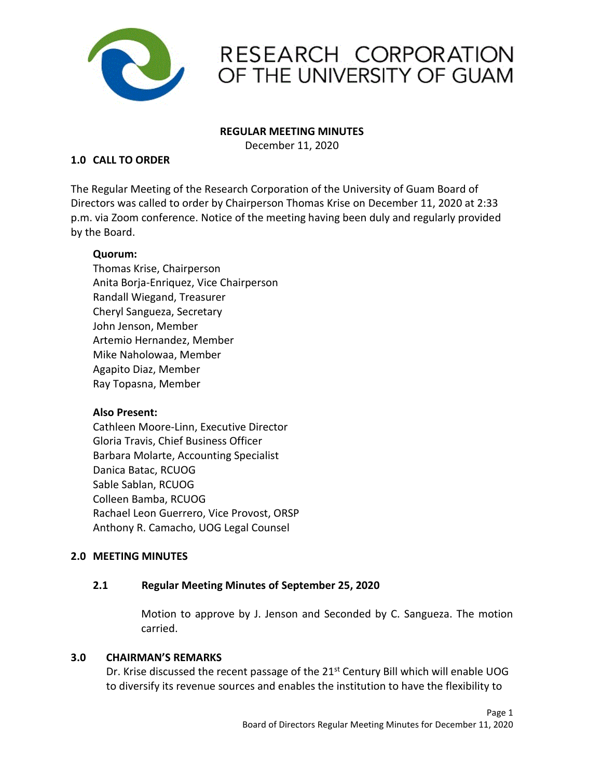

# RESEARCH CORPORATION OF THE UNIVERSITY OF GUAM

#### **REGULAR MEETING MINUTES**

December 11, 2020

## **1.0 CALL TO ORDER**

The Regular Meeting of the Research Corporation of the University of Guam Board of Directors was called to order by Chairperson Thomas Krise on December 11, 2020 at 2:33 p.m. via Zoom conference. Notice of the meeting having been duly and regularly provided by the Board.

## **Quorum:**

Thomas Krise, Chairperson Anita Borja-Enriquez, Vice Chairperson Randall Wiegand, Treasurer Cheryl Sangueza, Secretary John Jenson, Member Artemio Hernandez, Member Mike Naholowaa, Member Agapito Diaz, Member Ray Topasna, Member

## **Also Present:**

Cathleen Moore-Linn, Executive Director Gloria Travis, Chief Business Officer Barbara Molarte, Accounting Specialist Danica Batac, RCUOG Sable Sablan, RCUOG Colleen Bamba, RCUOG Rachael Leon Guerrero, Vice Provost, ORSP Anthony R. Camacho, UOG Legal Counsel

# **2.0 MEETING MINUTES**

## **2.1 Regular Meeting Minutes of September 25, 2020**

Motion to approve by J. Jenson and Seconded by C. Sangueza. The motion carried.

## **3.0 CHAIRMAN'S REMARKS**

Dr. Krise discussed the recent passage of the  $21^{st}$  Century Bill which will enable UOG to diversify its revenue sources and enables the institution to have the flexibility to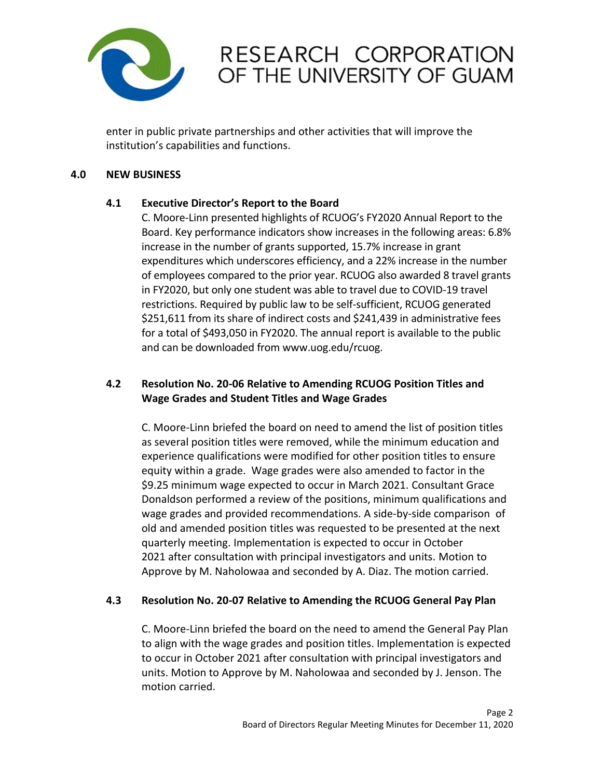

# RESEARCH CORPORATION OF THE UNIVERSITY OF GUAM

enter in public private partnerships and other activities that will improve the institution's capabilities and functions.

## **4.0 NEW BUSINESS**

# **4.1 Executive Director's Report to the Board**

C. Moore-Linn presented highlights of RCUOG's FY2020 Annual Report to the Board. Key performance indicators show increases in the following areas: 6.8% increase in the number of grants supported, 15.7% increase in grant expenditures which underscores efficiency, and a 22% increase in the number of employees compared to the prior year. RCUOG also awarded 8 travel grants in FY2020, but only one student was able to travel due to COVID-19 travel restrictions. Required by public law to be self-sufficient, RCUOG generated \$251,611 from its share of indirect costs and \$241,439 in administrative fees for a total of \$493,050 in FY2020. The annual report is available to the public and can be downloaded from www.uog.edu/rcuog.

# **4.2 Resolution No. 20-06 Relative to Amending RCUOG Position Titles and Wage Grades and Student Titles and Wage Grades**

C. Moore-Linn briefed the board on need to amend the list of position titles as several position titles were removed, while the minimum education and experience qualifications were modified for other position titles to ensure equity within a grade. Wage grades were also amended to factor in the \$9.25 minimum wage expected to occur in March 2021. Consultant Grace Donaldson performed a review of the positions, minimum qualifications and wage grades and provided recommendations. A side-by-side comparison of old and amended position titles was requested to be presented at the next quarterly meeting. Implementation is expected to occur in October 2021 after consultation with principal investigators and units. Motion to Approve by M. Naholowaa and seconded by A. Diaz. The motion carried.

# **4.3 Resolution No. 20-07 Relative to Amending the RCUOG General Pay Plan**

C. Moore-Linn briefed the board on the need to amend the General Pay Plan to align with the wage grades and position titles. Implementation is expected to occur in October 2021 after consultation with principal investigators and units. Motion to Approve by M. Naholowaa and seconded by J. Jenson. The motion carried.